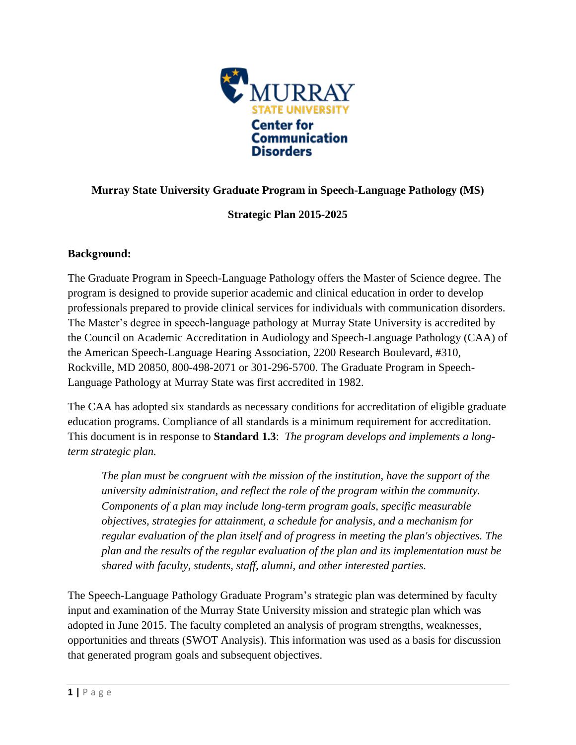

# **Murray State University Graduate Program in Speech-Language Pathology (MS)**

# **Strategic Plan 2015-2025**

# **Background:**

The Graduate Program in Speech-Language Pathology offers the Master of Science degree. The program is designed to provide superior academic and clinical education in order to develop professionals prepared to provide clinical services for individuals with communication disorders. The Master's degree in speech-language pathology at Murray State University is accredited by the Council on Academic Accreditation in Audiology and Speech-Language Pathology (CAA) of the American Speech-Language Hearing Association, 2200 Research Boulevard, #310, Rockville, MD 20850, 800-498-2071 or 301-296-5700. The Graduate Program in Speech-Language Pathology at Murray State was first accredited in 1982.

The CAA has adopted six standards as necessary conditions for accreditation of eligible graduate education programs. Compliance of all standards is a minimum requirement for accreditation. This document is in response to **Standard 1.3**: *The program develops and implements a longterm strategic plan.*

*The plan must be congruent with the mission of the institution, have the support of the university administration, and reflect the role of the program within the community. Components of a plan may include long-term program goals, specific measurable objectives, strategies for attainment, a schedule for analysis, and a mechanism for regular evaluation of the plan itself and of progress in meeting the plan's objectives. The plan and the results of the regular evaluation of the plan and its implementation must be shared with faculty, students, staff, alumni, and other interested parties.*

The Speech-Language Pathology Graduate Program's strategic plan was determined by faculty input and examination of the Murray State University mission and strategic plan which was adopted in June 2015. The faculty completed an analysis of program strengths, weaknesses, opportunities and threats (SWOT Analysis). This information was used as a basis for discussion that generated program goals and subsequent objectives.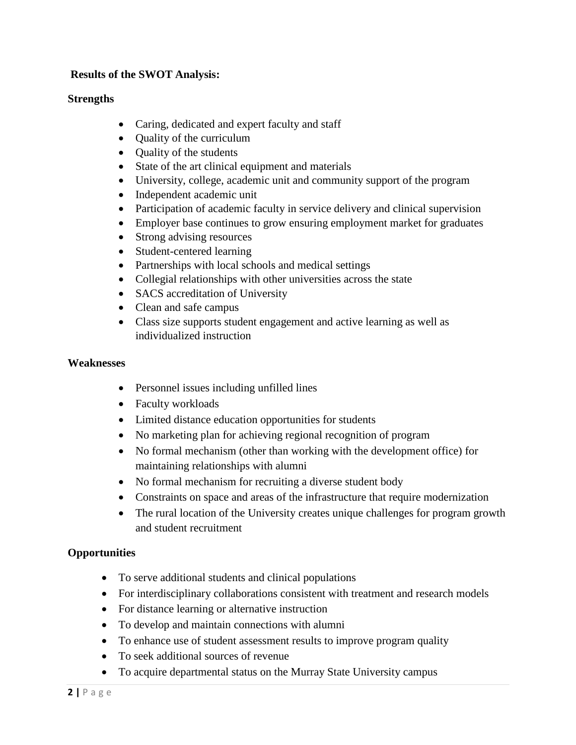# **Results of the SWOT Analysis:**

#### **Strengths**

- Caring, dedicated and expert faculty and staff
- Quality of the curriculum
- Quality of the students
- State of the art clinical equipment and materials
- University, college, academic unit and community support of the program
- Independent academic unit
- Participation of academic faculty in service delivery and clinical supervision
- Employer base continues to grow ensuring employment market for graduates
- Strong advising resources
- Student-centered learning
- Partnerships with local schools and medical settings
- Collegial relationships with other universities across the state
- SACS accreditation of University
- Clean and safe campus
- Class size supports student engagement and active learning as well as individualized instruction

#### **Weaknesses**

- Personnel issues including unfilled lines
- Faculty workloads
- Limited distance education opportunities for students
- No marketing plan for achieving regional recognition of program
- No formal mechanism (other than working with the development office) for maintaining relationships with alumni
- No formal mechanism for recruiting a diverse student body
- Constraints on space and areas of the infrastructure that require modernization
- The rural location of the University creates unique challenges for program growth and student recruitment

# **Opportunities**

- To serve additional students and clinical populations
- For interdisciplinary collaborations consistent with treatment and research models
- For distance learning or alternative instruction
- To develop and maintain connections with alumni
- To enhance use of student assessment results to improve program quality
- To seek additional sources of revenue
- To acquire departmental status on the Murray State University campus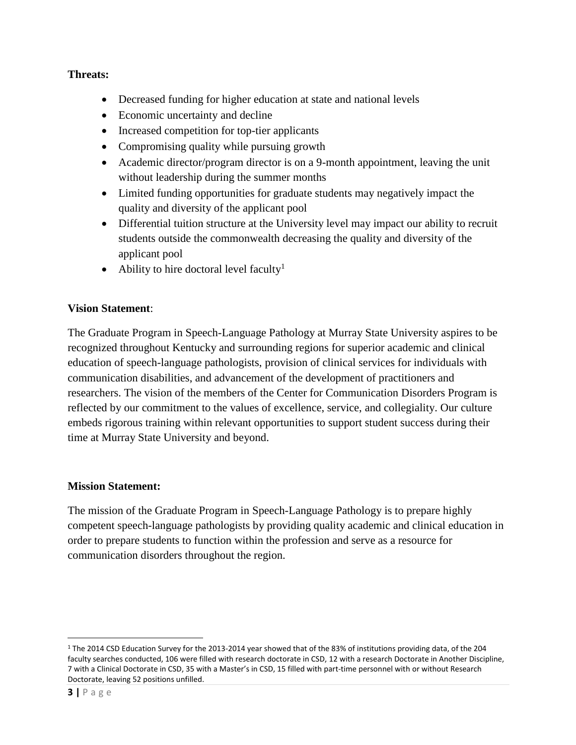# **Threats:**

- Decreased funding for higher education at state and national levels
- Economic uncertainty and decline
- Increased competition for top-tier applicants
- Compromising quality while pursuing growth
- Academic director/program director is on a 9-month appointment, leaving the unit without leadership during the summer months
- Limited funding opportunities for graduate students may negatively impact the quality and diversity of the applicant pool
- Differential tuition structure at the University level may impact our ability to recruit students outside the commonwealth decreasing the quality and diversity of the applicant pool
- Ability to hire doctoral level faculty<sup>1</sup>

# **Vision Statement**:

The Graduate Program in Speech-Language Pathology at Murray State University aspires to be recognized throughout Kentucky and surrounding regions for superior academic and clinical education of speech-language pathologists, provision of clinical services for individuals with communication disabilities, and advancement of the development of practitioners and researchers. The vision of the members of the Center for Communication Disorders Program is reflected by our commitment to the values of excellence, service, and collegiality. Our culture embeds rigorous training within relevant opportunities to support student success during their time at Murray State University and beyond.

# **Mission Statement:**

The mission of the Graduate Program in Speech-Language Pathology is to prepare highly competent speech-language pathologists by providing quality academic and clinical education in order to prepare students to function within the profession and serve as a resource for communication disorders throughout the region.

 $\overline{\phantom{a}}$ 

<sup>&</sup>lt;sup>1</sup> The 2014 CSD Education Survey for the 2013-2014 year showed that of the 83% of institutions providing data, of the 204 faculty searches conducted, 106 were filled with research doctorate in CSD, 12 with a research Doctorate in Another Discipline, 7 with a Clinical Doctorate in CSD, 35 with a Master's in CSD, 15 filled with part-time personnel with or without Research Doctorate, leaving 52 positions unfilled.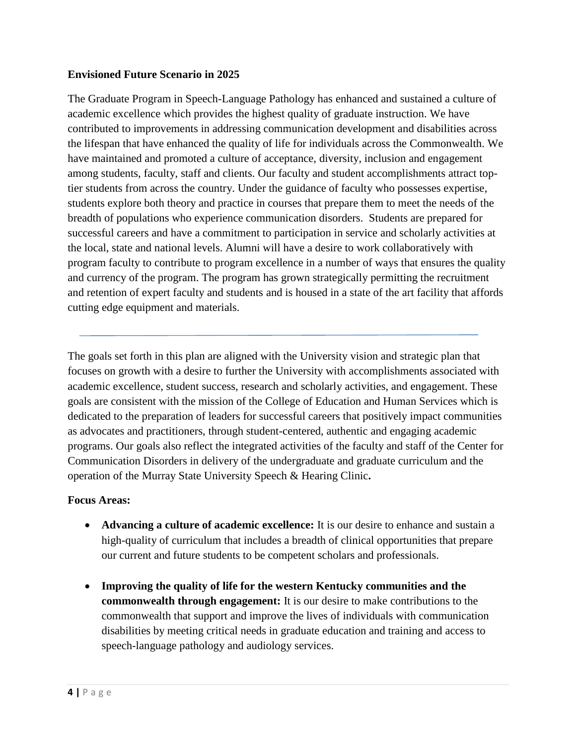## **Envisioned Future Scenario in 2025**

The Graduate Program in Speech-Language Pathology has enhanced and sustained a culture of academic excellence which provides the highest quality of graduate instruction. We have contributed to improvements in addressing communication development and disabilities across the lifespan that have enhanced the quality of life for individuals across the Commonwealth. We have maintained and promoted a culture of acceptance, diversity, inclusion and engagement among students, faculty, staff and clients. Our faculty and student accomplishments attract toptier students from across the country. Under the guidance of faculty who possesses expertise, students explore both theory and practice in courses that prepare them to meet the needs of the breadth of populations who experience communication disorders. Students are prepared for successful careers and have a commitment to participation in service and scholarly activities at the local, state and national levels. Alumni will have a desire to work collaboratively with program faculty to contribute to program excellence in a number of ways that ensures the quality and currency of the program. The program has grown strategically permitting the recruitment and retention of expert faculty and students and is housed in a state of the art facility that affords cutting edge equipment and materials.

The goals set forth in this plan are aligned with the University vision and strategic plan that focuses on growth with a desire to further the University with accomplishments associated with academic excellence, student success, research and scholarly activities, and engagement. These goals are consistent with the mission of the College of Education and Human Services which is dedicated to the preparation of leaders for successful careers that positively impact communities as advocates and practitioners, through student-centered, authentic and engaging academic programs. Our goals also reflect the integrated activities of the faculty and staff of the Center for Communication Disorders in delivery of the undergraduate and graduate curriculum and the operation of the Murray State University Speech & Hearing Clinic**.** 

#### **Focus Areas:**

- **Advancing a culture of academic excellence:** It is our desire to enhance and sustain a high-quality of curriculum that includes a breadth of clinical opportunities that prepare our current and future students to be competent scholars and professionals.
- **Improving the quality of life for the western Kentucky communities and the commonwealth through engagement:** It is our desire to make contributions to the commonwealth that support and improve the lives of individuals with communication disabilities by meeting critical needs in graduate education and training and access to speech-language pathology and audiology services.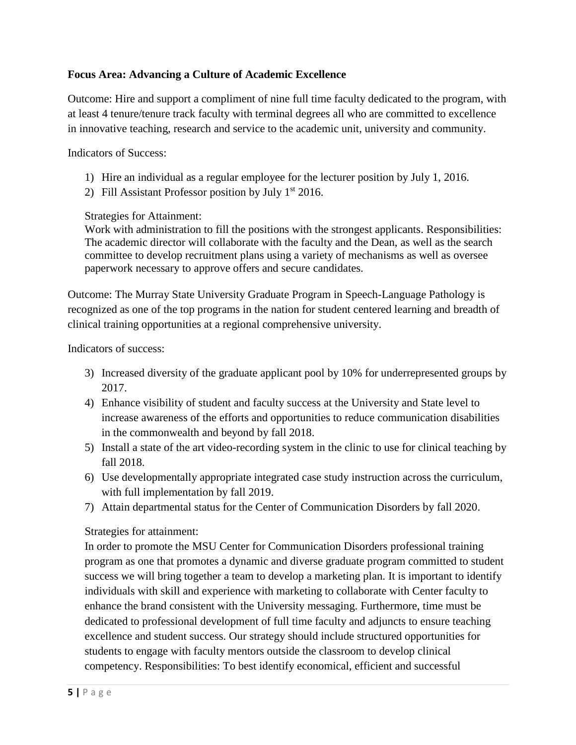# **Focus Area: Advancing a Culture of Academic Excellence**

Outcome: Hire and support a compliment of nine full time faculty dedicated to the program, with at least 4 tenure/tenure track faculty with terminal degrees all who are committed to excellence in innovative teaching, research and service to the academic unit, university and community.

Indicators of Success:

- 1) Hire an individual as a regular employee for the lecturer position by July 1, 2016.
- 2) Fill Assistant Professor position by July  $1<sup>st</sup> 2016$ .

# Strategies for Attainment:

Work with administration to fill the positions with the strongest applicants. Responsibilities: The academic director will collaborate with the faculty and the Dean, as well as the search committee to develop recruitment plans using a variety of mechanisms as well as oversee paperwork necessary to approve offers and secure candidates.

Outcome: The Murray State University Graduate Program in Speech-Language Pathology is recognized as one of the top programs in the nation for student centered learning and breadth of clinical training opportunities at a regional comprehensive university.

Indicators of success:

- 3) Increased diversity of the graduate applicant pool by 10% for underrepresented groups by 2017.
- 4) Enhance visibility of student and faculty success at the University and State level to increase awareness of the efforts and opportunities to reduce communication disabilities in the commonwealth and beyond by fall 2018.
- 5) Install a state of the art video-recording system in the clinic to use for clinical teaching by fall 2018.
- 6) Use developmentally appropriate integrated case study instruction across the curriculum, with full implementation by fall 2019.
- 7) Attain departmental status for the Center of Communication Disorders by fall 2020.

# Strategies for attainment:

In order to promote the MSU Center for Communication Disorders professional training program as one that promotes a dynamic and diverse graduate program committed to student success we will bring together a team to develop a marketing plan. It is important to identify individuals with skill and experience with marketing to collaborate with Center faculty to enhance the brand consistent with the University messaging. Furthermore, time must be dedicated to professional development of full time faculty and adjuncts to ensure teaching excellence and student success. Our strategy should include structured opportunities for students to engage with faculty mentors outside the classroom to develop clinical competency. Responsibilities: To best identify economical, efficient and successful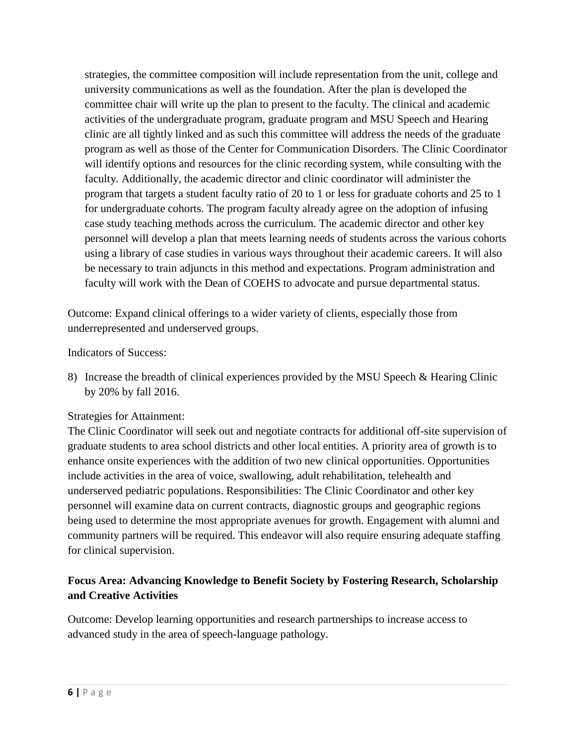strategies, the committee composition will include representation from the unit, college and university communications as well as the foundation. After the plan is developed the committee chair will write up the plan to present to the faculty. The clinical and academic activities of the undergraduate program, graduate program and MSU Speech and Hearing clinic are all tightly linked and as such this committee will address the needs of the graduate program as well as those of the Center for Communication Disorders. The Clinic Coordinator will identify options and resources for the clinic recording system, while consulting with the faculty. Additionally, the academic director and clinic coordinator will administer the program that targets a student faculty ratio of 20 to 1 or less for graduate cohorts and 25 to 1 for undergraduate cohorts. The program faculty already agree on the adoption of infusing case study teaching methods across the curriculum. The academic director and other key personnel will develop a plan that meets learning needs of students across the various cohorts using a library of case studies in various ways throughout their academic careers. It will also be necessary to train adjuncts in this method and expectations. Program administration and faculty will work with the Dean of COEHS to advocate and pursue departmental status.

Outcome: Expand clinical offerings to a wider variety of clients, especially those from underrepresented and underserved groups.

Indicators of Success:

8) Increase the breadth of clinical experiences provided by the MSU Speech & Hearing Clinic by 20% by fall 2016.

Strategies for Attainment:

The Clinic Coordinator will seek out and negotiate contracts for additional off-site supervision of graduate students to area school districts and other local entities. A priority area of growth is to enhance onsite experiences with the addition of two new clinical opportunities. Opportunities include activities in the area of voice, swallowing, adult rehabilitation, telehealth and underserved pediatric populations. Responsibilities: The Clinic Coordinator and other key personnel will examine data on current contracts, diagnostic groups and geographic regions being used to determine the most appropriate avenues for growth. Engagement with alumni and community partners will be required. This endeavor will also require ensuring adequate staffing for clinical supervision.

# **Focus Area: Advancing Knowledge to Benefit Society by Fostering Research, Scholarship and Creative Activities**

Outcome: Develop learning opportunities and research partnerships to increase access to advanced study in the area of speech-language pathology.